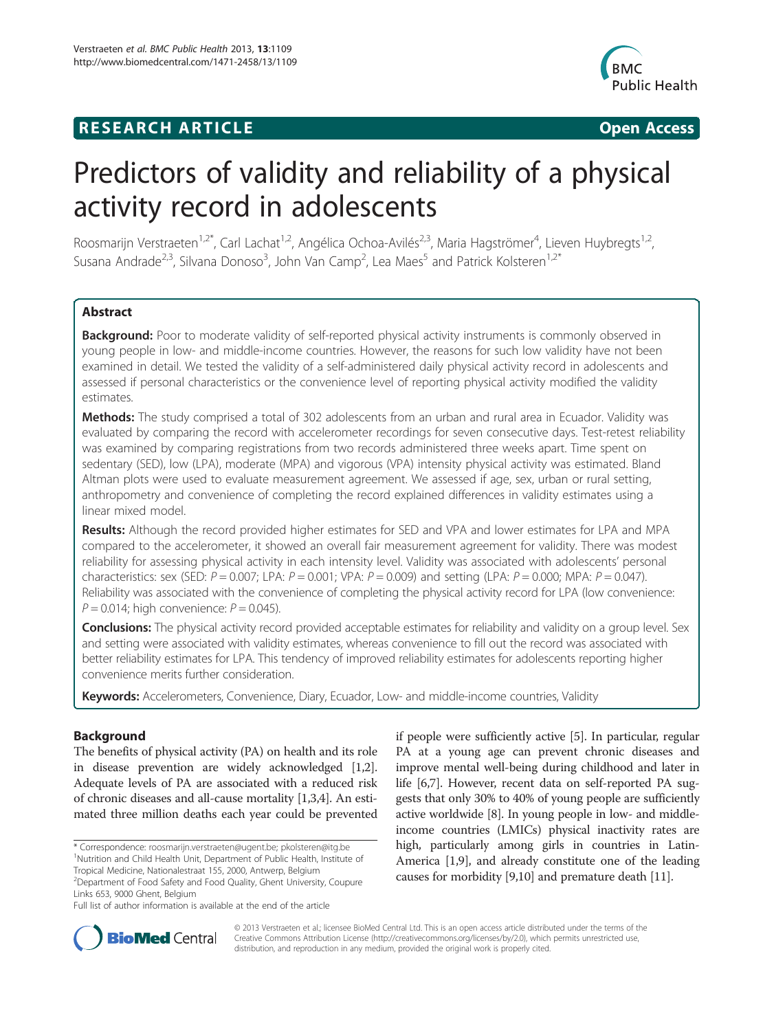# **RESEARCH ARTICLE Example 2018 12:00 Department of the CONNECTION CONNECTION CONNECTION CONNECTION**



# Predictors of validity and reliability of a physical activity record in adolescents

Roosmarijn Verstraeten<sup>1,2\*</sup>, Carl Lachat<sup>1,2</sup>, Angélica Ochoa-Avilés<sup>2,3</sup>, Maria Hagströmer<sup>4</sup>, Lieven Huybregts<sup>1,2</sup>, Susana Andrade<sup>2,3</sup>, Silvana Donoso<sup>3</sup>, John Van Camp<sup>2</sup>, Lea Maes<sup>5</sup> and Patrick Kolsteren<sup>1,2\*</sup>

# Abstract

Background: Poor to moderate validity of self-reported physical activity instruments is commonly observed in young people in low- and middle-income countries. However, the reasons for such low validity have not been examined in detail. We tested the validity of a self-administered daily physical activity record in adolescents and assessed if personal characteristics or the convenience level of reporting physical activity modified the validity estimates.

Methods: The study comprised a total of 302 adolescents from an urban and rural area in Ecuador. Validity was evaluated by comparing the record with accelerometer recordings for seven consecutive days. Test-retest reliability was examined by comparing registrations from two records administered three weeks apart. Time spent on sedentary (SED), low (LPA), moderate (MPA) and vigorous (VPA) intensity physical activity was estimated. Bland Altman plots were used to evaluate measurement agreement. We assessed if age, sex, urban or rural setting, anthropometry and convenience of completing the record explained differences in validity estimates using a linear mixed model.

Results: Although the record provided higher estimates for SED and VPA and lower estimates for LPA and MPA compared to the accelerometer, it showed an overall fair measurement agreement for validity. There was modest reliability for assessing physical activity in each intensity level. Validity was associated with adolescents' personal characteristics: sex (SED:  $P = 0.007$ ; LPA:  $P = 0.001$ ; VPA:  $P = 0.009$ ) and setting (LPA:  $P = 0.000$ ; MPA:  $P = 0.047$ ). Reliability was associated with the convenience of completing the physical activity record for LPA (low convenience:  $P = 0.014$ ; high convenience:  $P = 0.045$ ).

Conclusions: The physical activity record provided acceptable estimates for reliability and validity on a group level. Sex and setting were associated with validity estimates, whereas convenience to fill out the record was associated with better reliability estimates for LPA. This tendency of improved reliability estimates for adolescents reporting higher convenience merits further consideration.

**Keywords:** Accelerometers, Convenience, Diary, Ecuador, Low- and middle-income countries, Validity

# Background

The benefits of physical activity (PA) on health and its role in disease prevention are widely acknowledged [[1](#page-9-0),[2](#page-9-0)]. Adequate levels of PA are associated with a reduced risk of chronic diseases and all-cause mortality [\[1,3,4\]](#page-9-0). An estimated three million deaths each year could be prevented

\* Correspondence: [roosmarijn.verstraeten@ugent.be;](mailto:roosmarijn.verstraeten@ugent.be) [pkolsteren@itg.be](mailto:pkolsteren@itg.be) <sup>1</sup> <sup>1</sup>Nutrition and Child Health Unit, Department of Public Health, Institute of Tropical Medicine, Nationalestraat 155, 2000, Antwerp, Belgium

2 Department of Food Safety and Food Quality, Ghent University, Coupure Links 653, 9000 Ghent, Belgium

if people were sufficiently active [[5\]](#page-9-0). In particular, regular PA at a young age can prevent chronic diseases and improve mental well-being during childhood and later in life [[6,7\]](#page-9-0). However, recent data on self-reported PA suggests that only 30% to 40% of young people are sufficiently active worldwide [\[8\]](#page-9-0). In young people in low- and middleincome countries (LMICs) physical inactivity rates are high, particularly among girls in countries in Latin-America [[1,9\]](#page-9-0), and already constitute one of the leading causes for morbidity [[9,10](#page-9-0)] and premature death [[11](#page-9-0)].



© 2013 Verstraeten et al.; licensee BioMed Central Ltd. This is an open access article distributed under the terms of the Creative Commons Attribution License (<http://creativecommons.org/licenses/by/2.0>), which permits unrestricted use, distribution, and reproduction in any medium, provided the original work is properly cited.

Full list of author information is available at the end of the article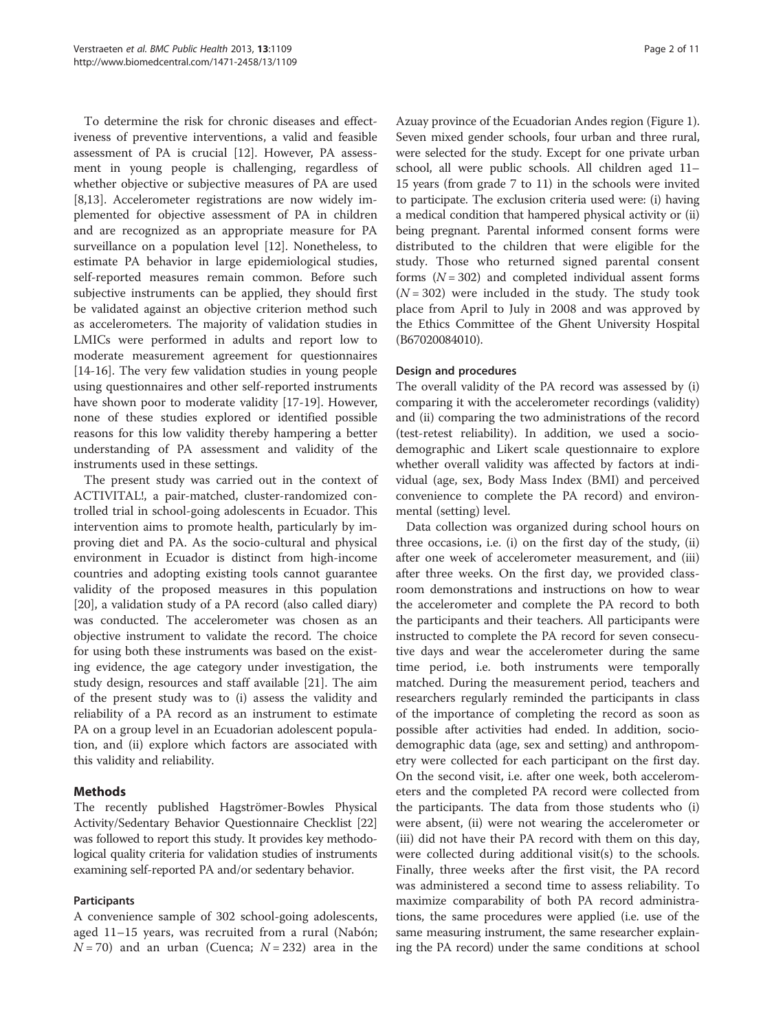To determine the risk for chronic diseases and effectiveness of preventive interventions, a valid and feasible assessment of PA is crucial [\[12\]](#page-9-0). However, PA assessment in young people is challenging, regardless of whether objective or subjective measures of PA are used [[8,13\]](#page-9-0). Accelerometer registrations are now widely implemented for objective assessment of PA in children and are recognized as an appropriate measure for PA surveillance on a population level [[12](#page-9-0)]. Nonetheless, to estimate PA behavior in large epidemiological studies, self-reported measures remain common. Before such subjective instruments can be applied, they should first be validated against an objective criterion method such as accelerometers. The majority of validation studies in LMICs were performed in adults and report low to moderate measurement agreement for questionnaires [[14-16](#page-9-0)]. The very few validation studies in young people using questionnaires and other self-reported instruments have shown poor to moderate validity [[17](#page-9-0)-[19\]](#page-9-0). However, none of these studies explored or identified possible reasons for this low validity thereby hampering a better understanding of PA assessment and validity of the instruments used in these settings.

The present study was carried out in the context of ACTIVITAL!, a pair-matched, cluster-randomized controlled trial in school-going adolescents in Ecuador. This intervention aims to promote health, particularly by improving diet and PA. As the socio-cultural and physical environment in Ecuador is distinct from high-income countries and adopting existing tools cannot guarantee validity of the proposed measures in this population [[20\]](#page-9-0), a validation study of a PA record (also called diary) was conducted. The accelerometer was chosen as an objective instrument to validate the record. The choice for using both these instruments was based on the existing evidence, the age category under investigation, the study design, resources and staff available [[21\]](#page-10-0). The aim of the present study was to (i) assess the validity and reliability of a PA record as an instrument to estimate PA on a group level in an Ecuadorian adolescent population, and (ii) explore which factors are associated with this validity and reliability.

# Methods

The recently published Hagströmer-Bowles Physical Activity/Sedentary Behavior Questionnaire Checklist [[22](#page-10-0)] was followed to report this study. It provides key methodological quality criteria for validation studies of instruments examining self-reported PA and/or sedentary behavior.

# Participants

A convenience sample of 302 school-going adolescents, aged 11–15 years, was recruited from a rural (Nabón;  $N = 70$ ) and an urban (Cuenca;  $N = 232$ ) area in the

Azuay province of the Ecuadorian Andes region (Figure [1](#page-2-0)). Seven mixed gender schools, four urban and three rural, were selected for the study. Except for one private urban school, all were public schools. All children aged 11– 15 years (from grade 7 to 11) in the schools were invited to participate. The exclusion criteria used were: (i) having a medical condition that hampered physical activity or (ii) being pregnant. Parental informed consent forms were distributed to the children that were eligible for the study. Those who returned signed parental consent forms  $(N = 302)$  and completed individual assent forms  $(N = 302)$  were included in the study. The study took place from April to July in 2008 and was approved by the Ethics Committee of the Ghent University Hospital (B67020084010).

# Design and procedures

The overall validity of the PA record was assessed by (i) comparing it with the accelerometer recordings (validity) and (ii) comparing the two administrations of the record (test-retest reliability). In addition, we used a sociodemographic and Likert scale questionnaire to explore whether overall validity was affected by factors at individual (age, sex, Body Mass Index (BMI) and perceived convenience to complete the PA record) and environmental (setting) level.

Data collection was organized during school hours on three occasions, i.e. (i) on the first day of the study, (ii) after one week of accelerometer measurement, and (iii) after three weeks. On the first day, we provided classroom demonstrations and instructions on how to wear the accelerometer and complete the PA record to both the participants and their teachers. All participants were instructed to complete the PA record for seven consecutive days and wear the accelerometer during the same time period, i.e. both instruments were temporally matched. During the measurement period, teachers and researchers regularly reminded the participants in class of the importance of completing the record as soon as possible after activities had ended. In addition, sociodemographic data (age, sex and setting) and anthropometry were collected for each participant on the first day. On the second visit, i.e. after one week, both accelerometers and the completed PA record were collected from the participants. The data from those students who (i) were absent, (ii) were not wearing the accelerometer or (iii) did not have their PA record with them on this day, were collected during additional visit(s) to the schools. Finally, three weeks after the first visit, the PA record was administered a second time to assess reliability. To maximize comparability of both PA record administrations, the same procedures were applied (i.e. use of the same measuring instrument, the same researcher explaining the PA record) under the same conditions at school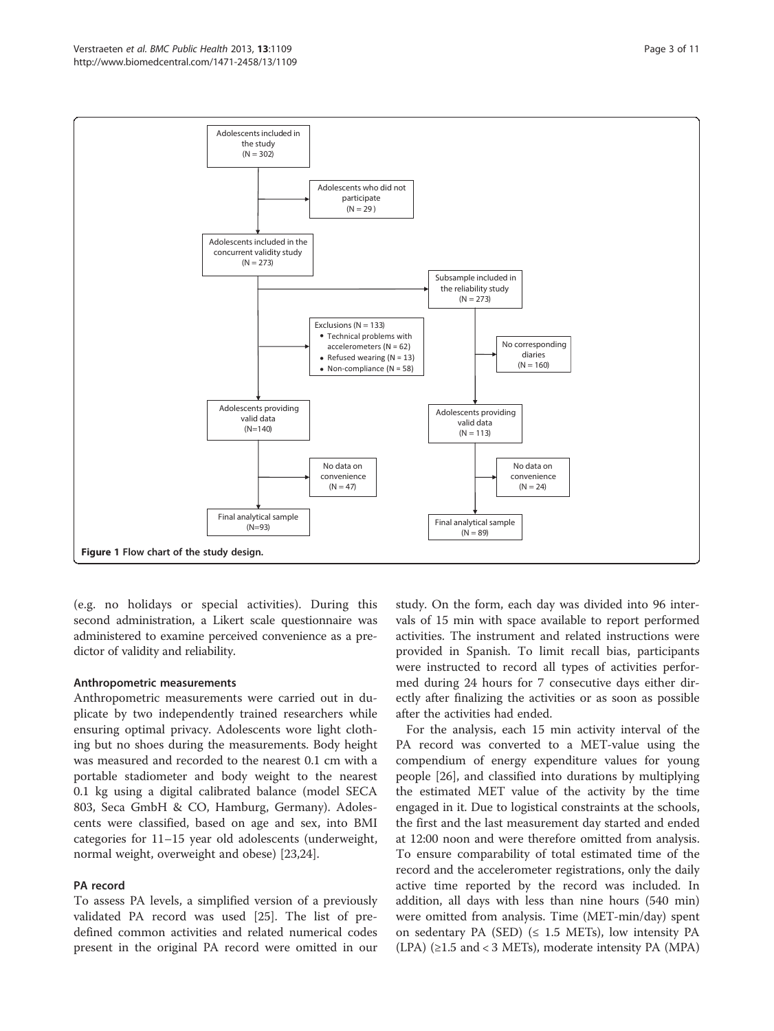<span id="page-2-0"></span>

(e.g. no holidays or special activities). During this second administration, a Likert scale questionnaire was administered to examine perceived convenience as a predictor of validity and reliability.

#### Anthropometric measurements

Anthropometric measurements were carried out in duplicate by two independently trained researchers while ensuring optimal privacy. Adolescents wore light clothing but no shoes during the measurements. Body height was measured and recorded to the nearest 0.1 cm with a portable stadiometer and body weight to the nearest 0.1 kg using a digital calibrated balance (model SECA 803, Seca GmbH & CO, Hamburg, Germany). Adolescents were classified, based on age and sex, into BMI categories for 11–15 year old adolescents (underweight, normal weight, overweight and obese) [[23,24\]](#page-10-0).

#### PA record

To assess PA levels, a simplified version of a previously validated PA record was used [\[25](#page-10-0)]. The list of predefined common activities and related numerical codes present in the original PA record were omitted in our

study. On the form, each day was divided into 96 intervals of 15 min with space available to report performed activities. The instrument and related instructions were provided in Spanish. To limit recall bias, participants were instructed to record all types of activities performed during 24 hours for 7 consecutive days either directly after finalizing the activities or as soon as possible after the activities had ended.

For the analysis, each 15 min activity interval of the PA record was converted to a MET-value using the compendium of energy expenditure values for young people [[26](#page-10-0)], and classified into durations by multiplying the estimated MET value of the activity by the time engaged in it. Due to logistical constraints at the schools, the first and the last measurement day started and ended at 12:00 noon and were therefore omitted from analysis. To ensure comparability of total estimated time of the record and the accelerometer registrations, only the daily active time reported by the record was included. In addition, all days with less than nine hours (540 min) were omitted from analysis. Time (MET-min/day) spent on sedentary PA (SED) ( $\leq$  1.5 METs), low intensity PA (LPA) (≥1.5 and < 3 METs), moderate intensity PA (MPA)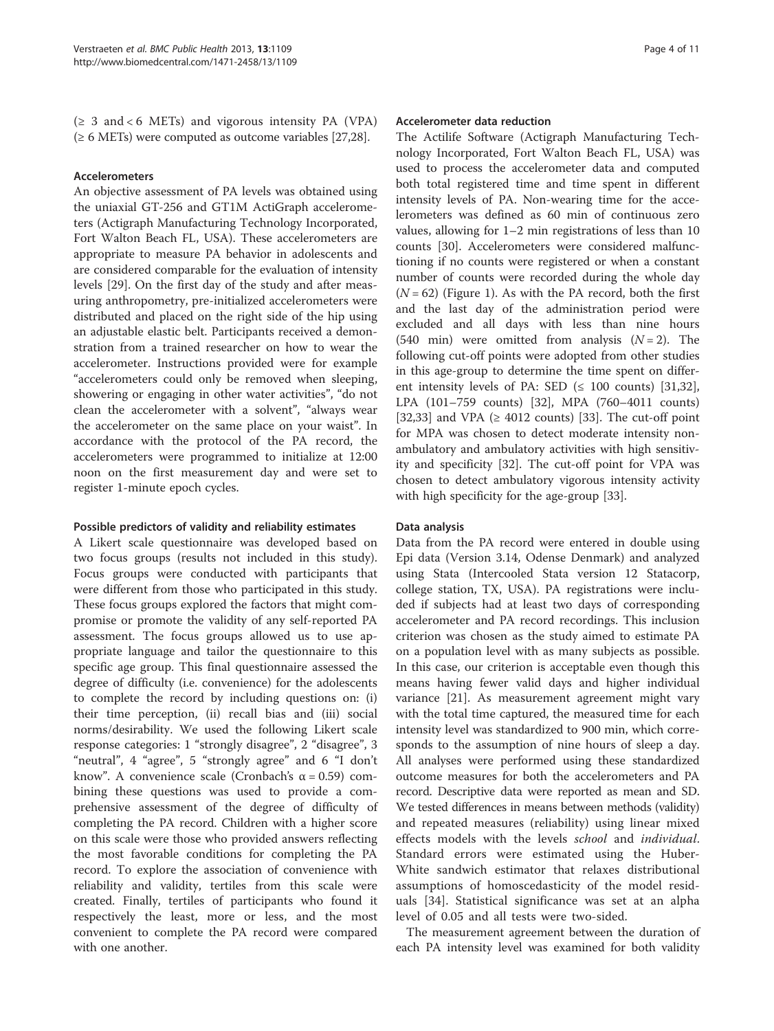$(\geq 3 \text{ and } 6 \text{ METs})$  and vigorous intensity PA (VPA)  $(\geq 6$  METs) were computed as outcome variables [\[27,28\]](#page-10-0).

#### Accelerometers

An objective assessment of PA levels was obtained using the uniaxial GT-256 and GT1M ActiGraph accelerometers (Actigraph Manufacturing Technology Incorporated, Fort Walton Beach FL, USA). These accelerometers are appropriate to measure PA behavior in adolescents and are considered comparable for the evaluation of intensity levels [\[29](#page-10-0)]. On the first day of the study and after measuring anthropometry, pre-initialized accelerometers were distributed and placed on the right side of the hip using an adjustable elastic belt. Participants received a demonstration from a trained researcher on how to wear the accelerometer. Instructions provided were for example "accelerometers could only be removed when sleeping, showering or engaging in other water activities", "do not clean the accelerometer with a solvent", "always wear the accelerometer on the same place on your waist". In accordance with the protocol of the PA record, the accelerometers were programmed to initialize at 12:00 noon on the first measurement day and were set to register 1-minute epoch cycles.

#### Possible predictors of validity and reliability estimates

A Likert scale questionnaire was developed based on two focus groups (results not included in this study). Focus groups were conducted with participants that were different from those who participated in this study. These focus groups explored the factors that might compromise or promote the validity of any self-reported PA assessment. The focus groups allowed us to use appropriate language and tailor the questionnaire to this specific age group. This final questionnaire assessed the degree of difficulty (i.e. convenience) for the adolescents to complete the record by including questions on: (i) their time perception, (ii) recall bias and (iii) social norms/desirability. We used the following Likert scale response categories: 1 "strongly disagree", 2 "disagree", 3 "neutral", 4 "agree", 5 "strongly agree" and 6 "I don't know". A convenience scale (Cronbach's  $\alpha$  = 0.59) combining these questions was used to provide a comprehensive assessment of the degree of difficulty of completing the PA record. Children with a higher score on this scale were those who provided answers reflecting the most favorable conditions for completing the PA record. To explore the association of convenience with reliability and validity, tertiles from this scale were created. Finally, tertiles of participants who found it respectively the least, more or less, and the most convenient to complete the PA record were compared with one another.

#### Accelerometer data reduction

The Actilife Software (Actigraph Manufacturing Technology Incorporated, Fort Walton Beach FL, USA) was used to process the accelerometer data and computed both total registered time and time spent in different intensity levels of PA. Non-wearing time for the accelerometers was defined as 60 min of continuous zero values, allowing for 1–2 min registrations of less than 10 counts [\[30\]](#page-10-0). Accelerometers were considered malfunctioning if no counts were registered or when a constant number of counts were recorded during the whole day  $(N = 62)$  (Figure [1\)](#page-2-0). As with the PA record, both the first and the last day of the administration period were excluded and all days with less than nine hours (540 min) were omitted from analysis  $(N = 2)$ . The following cut-off points were adopted from other studies in this age-group to determine the time spent on different intensity levels of PA: SED ( $\leq$  100 counts) [\[31,32](#page-10-0)], LPA (101–759 counts) [\[32](#page-10-0)], MPA (760–4011 counts) [[32,33\]](#page-10-0) and VPA ( $\geq$  4012 counts) [[33](#page-10-0)]. The cut-off point for MPA was chosen to detect moderate intensity nonambulatory and ambulatory activities with high sensitivity and specificity [[32](#page-10-0)]. The cut-off point for VPA was chosen to detect ambulatory vigorous intensity activity with high specificity for the age-group [\[33](#page-10-0)].

#### Data analysis

Data from the PA record were entered in double using Epi data (Version 3.14, Odense Denmark) and analyzed using Stata (Intercooled Stata version 12 Statacorp, college station, TX, USA). PA registrations were included if subjects had at least two days of corresponding accelerometer and PA record recordings. This inclusion criterion was chosen as the study aimed to estimate PA on a population level with as many subjects as possible. In this case, our criterion is acceptable even though this means having fewer valid days and higher individual variance [[21\]](#page-10-0). As measurement agreement might vary with the total time captured, the measured time for each intensity level was standardized to 900 min, which corresponds to the assumption of nine hours of sleep a day. All analyses were performed using these standardized outcome measures for both the accelerometers and PA record. Descriptive data were reported as mean and SD. We tested differences in means between methods (validity) and repeated measures (reliability) using linear mixed effects models with the levels school and individual. Standard errors were estimated using the Huber-White sandwich estimator that relaxes distributional assumptions of homoscedasticity of the model residuals [[34\]](#page-10-0). Statistical significance was set at an alpha level of 0.05 and all tests were two-sided.

The measurement agreement between the duration of each PA intensity level was examined for both validity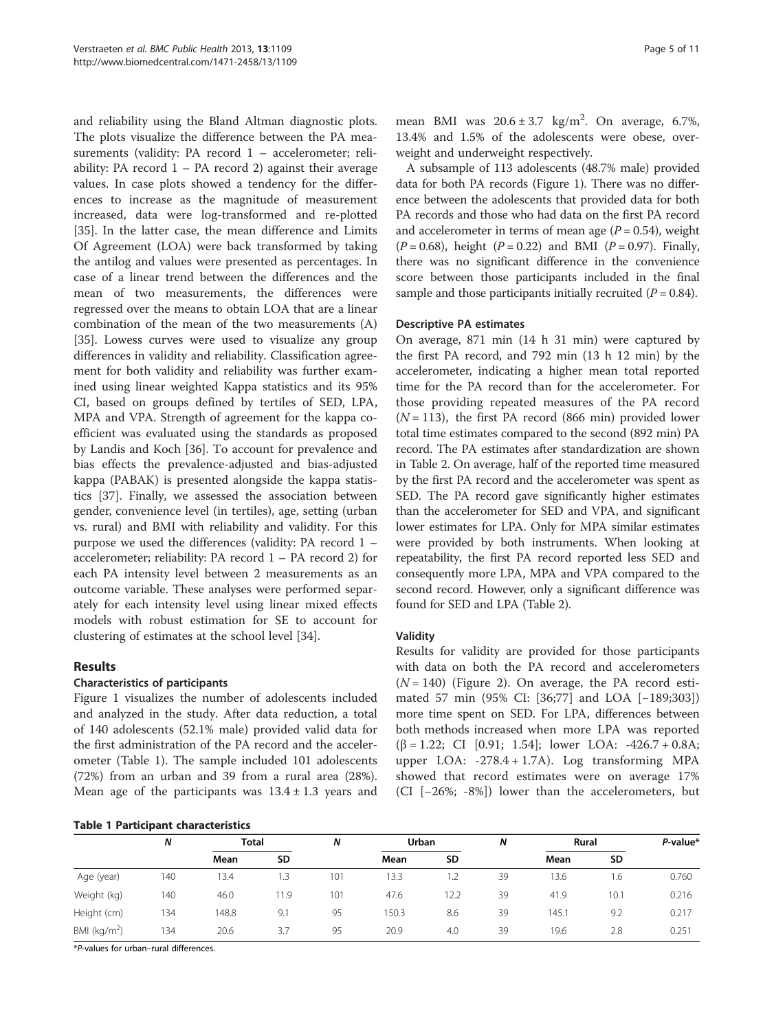and reliability using the Bland Altman diagnostic plots. The plots visualize the difference between the PA measurements (validity: PA record 1 – accelerometer; reliability: PA record  $1 - PA$  record 2) against their average values. In case plots showed a tendency for the differences to increase as the magnitude of measurement increased, data were log-transformed and re-plotted [[35\]](#page-10-0). In the latter case, the mean difference and Limits Of Agreement (LOA) were back transformed by taking the antilog and values were presented as percentages. In case of a linear trend between the differences and the mean of two measurements, the differences were regressed over the means to obtain LOA that are a linear combination of the mean of the two measurements (A) [[35\]](#page-10-0). Lowess curves were used to visualize any group differences in validity and reliability. Classification agreement for both validity and reliability was further examined using linear weighted Kappa statistics and its 95% CI, based on groups defined by tertiles of SED, LPA, MPA and VPA. Strength of agreement for the kappa coefficient was evaluated using the standards as proposed by Landis and Koch [[36](#page-10-0)]. To account for prevalence and bias effects the prevalence-adjusted and bias-adjusted kappa (PABAK) is presented alongside the kappa statistics [[37\]](#page-10-0). Finally, we assessed the association between gender, convenience level (in tertiles), age, setting (urban vs. rural) and BMI with reliability and validity. For this purpose we used the differences (validity: PA record 1 – accelerometer; reliability: PA record 1 – PA record 2) for each PA intensity level between 2 measurements as an outcome variable. These analyses were performed separately for each intensity level using linear mixed effects models with robust estimation for SE to account for clustering of estimates at the school level [\[34](#page-10-0)].

# Results

# Characteristics of participants

Figure [1](#page-2-0) visualizes the number of adolescents included and analyzed in the study. After data reduction, a total of 140 adolescents (52.1% male) provided valid data for the first administration of the PA record and the accelerometer (Table 1). The sample included 101 adolescents (72%) from an urban and 39 from a rural area (28%). Mean age of the participants was  $13.4 \pm 1.3$  years and

|  | Table 1 Participant characteristics |
|--|-------------------------------------|
|--|-------------------------------------|

mean BMI was  $20.6 \pm 3.7$  kg/m<sup>2</sup>. On average, 6.7%, 13.4% and 1.5% of the adolescents were obese, overweight and underweight respectively.

A subsample of 113 adolescents (48.7% male) provided data for both PA records (Figure [1](#page-2-0)). There was no difference between the adolescents that provided data for both PA records and those who had data on the first PA record and accelerometer in terms of mean age  $(P = 0.54)$ , weight  $(P = 0.68)$ , height  $(P = 0.22)$  and BMI  $(P = 0.97)$ . Finally, there was no significant difference in the convenience score between those participants included in the final sample and those participants initially recruited  $(P = 0.84)$ .

#### Descriptive PA estimates

On average, 871 min (14 h 31 min) were captured by the first PA record, and 792 min (13 h 12 min) by the accelerometer, indicating a higher mean total reported time for the PA record than for the accelerometer. For those providing repeated measures of the PA record  $(N = 113)$ , the first PA record (866 min) provided lower total time estimates compared to the second (892 min) PA record. The PA estimates after standardization are shown in Table [2](#page-5-0). On average, half of the reported time measured by the first PA record and the accelerometer was spent as SED. The PA record gave significantly higher estimates than the accelerometer for SED and VPA, and significant lower estimates for LPA. Only for MPA similar estimates were provided by both instruments. When looking at repeatability, the first PA record reported less SED and consequently more LPA, MPA and VPA compared to the second record. However, only a significant difference was found for SED and LPA (Table [2](#page-5-0)).

#### Validity

Results for validity are provided for those participants with data on both the PA record and accelerometers  $(N = 140)$  (Figure [2](#page-5-0)). On average, the PA record estimated 57 min (95% CI: [36;77] and LOA [−189;303]) more time spent on SED. For LPA, differences between both methods increased when more LPA was reported (β = 1.22; CI [0.91; 1.54]; lower LOA: -426.7 + 0.8A; upper LOA: -278.4 + 1.7A). Log transforming MPA showed that record estimates were on average 17% (CI [−26%; -8%]) lower than the accelerometers, but

|                 | N   | <b>Total</b> |           | N   | Urban |           | N  | Rural |           | $P$ -value* |
|-----------------|-----|--------------|-----------|-----|-------|-----------|----|-------|-----------|-------------|
|                 |     | Mean         | <b>SD</b> |     | Mean  | <b>SD</b> |    | Mean  | <b>SD</b> |             |
| Age (year)      | 140 | 13.4         | l.3       | 101 | 13.3  | 1.2       | 39 | 13.6  | 1.6       | 0.760       |
| Weight (kg)     | 140 | 46.0         | 11.9      | 101 | 47.6  | 12.2      | 39 | 41.9  | 10.1      | 0.216       |
| Height (cm)     | 134 | 148.8        | 9.1       | 95  | 150.3 | 8.6       | 39 | 145.1 | 9.2       | 0.217       |
| BMI ( $kg/m2$ ) | 134 | 20.6         | 3.7       | 95  | 20.9  | 4.0       | 39 | 19.6  | 2.8       | 0.251       |

\*P-values for urban–rural differences.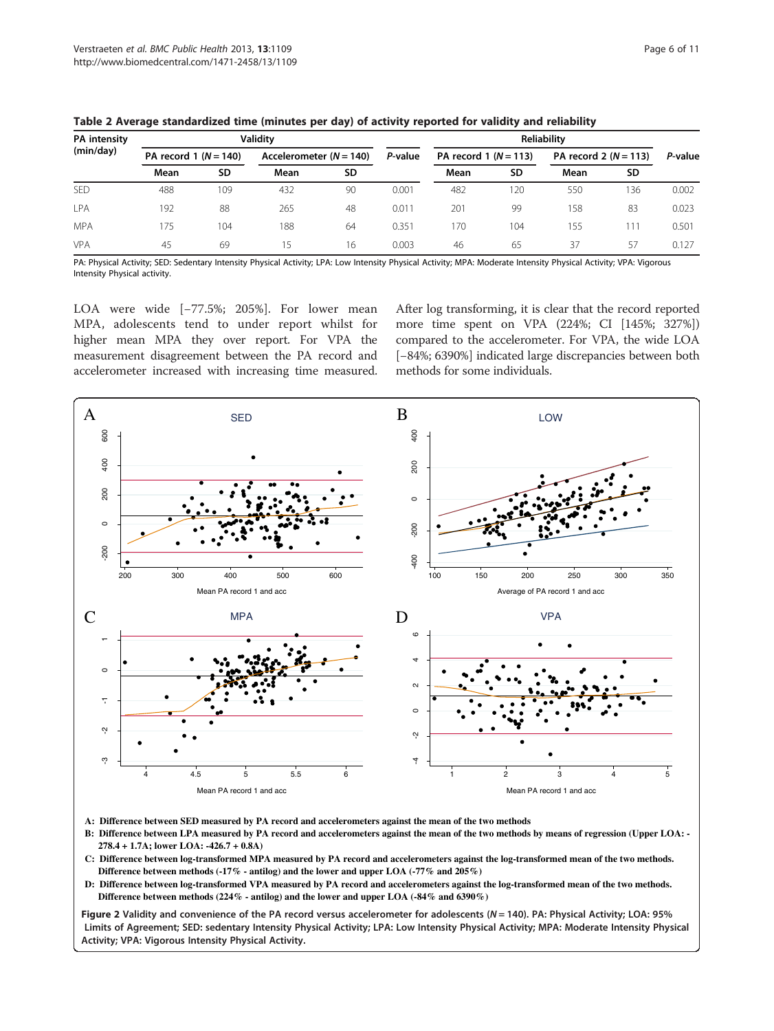| <b>PA</b> intensity<br>(min/day) |                        |     | <b>Validity</b>           |     | Reliability |                        |           |                        | P-value   |       |
|----------------------------------|------------------------|-----|---------------------------|-----|-------------|------------------------|-----------|------------------------|-----------|-------|
|                                  | PA record $1(N = 140)$ |     | Accelerometer $(N = 140)$ |     | P-value     | PA record $1(N = 113)$ |           | PA record $2(N = 113)$ |           |       |
|                                  | Mean                   | SD  | Mean                      | SD. |             | Mean                   | <b>SD</b> | Mean                   | <b>SD</b> |       |
| <b>SED</b>                       | 488                    | 109 | 432                       | 90  | 0.001       | 482                    | 20        | 550                    | 136       | 0.002 |
| LPA                              | 192                    | 88  | 265                       | 48  | 0.011       | 201                    | 99        | 158                    | 83        | 0.023 |
| <b>MPA</b>                       | 175                    | 104 | 188                       | 64  | 0.351       | 170                    | 104       | 155                    | 11        | 0.501 |
| <b>VPA</b>                       | 45                     | 69  | 15                        | 16  | 0.003       | 46                     | 65        | 37                     | -57       | 0.127 |

<span id="page-5-0"></span>Table 2 Average standardized time (minutes per day) of activity reported for validity and reliability

PA: Physical Activity; SED: Sedentary Intensity Physical Activity; LPA: Low Intensity Physical Activity; MPA: Moderate Intensity Physical Activity; VPA: Vigorous Intensity Physical activity.

LOA were wide [−77.5%; 205%]. For lower mean MPA, adolescents tend to under report whilst for higher mean MPA they over report. For VPA the measurement disagreement between the PA record and accelerometer increased with increasing time measured.

After log transforming, it is clear that the record reported more time spent on VPA (224%; CI [145%; 327%]) compared to the accelerometer. For VPA, the wide LOA [−84%; 6390%] indicated large discrepancies between both methods for some individuals.



- **A: Difference between SED measured by PA record and accelerometers against the mean of the two methods**
- **B: Difference between LPA measured by PA record and accelerometers against the mean of the two methods by means of regression (Upper LOA: - 278.4 + 1.7A; lower LOA: -426.7 + 0.8A)**
- **C: Difference between log-transformed MPA measured by PA record and accelerometers against the log-transformed mean of the two methods. Difference between methods (-17% - antilog) and the lower and upper LOA (-77% and 205%)**
- **D: Difference between log-transformed VPA measured by PA record and accelerometers against the log-transformed mean of the two methods.**

Figure 2 Validity and convenience of the PA record versus accelerometer for adolescents ( $N = 140$ ). PA: Physical Activity; LOA: 95% Limits of Agreement; SED: sedentary Intensity Physical Activity; LPA: Low Intensity Physical Activity; MPA: Moderate Intensity Physical Activity; VPA: Vigorous Intensity Physical Activity.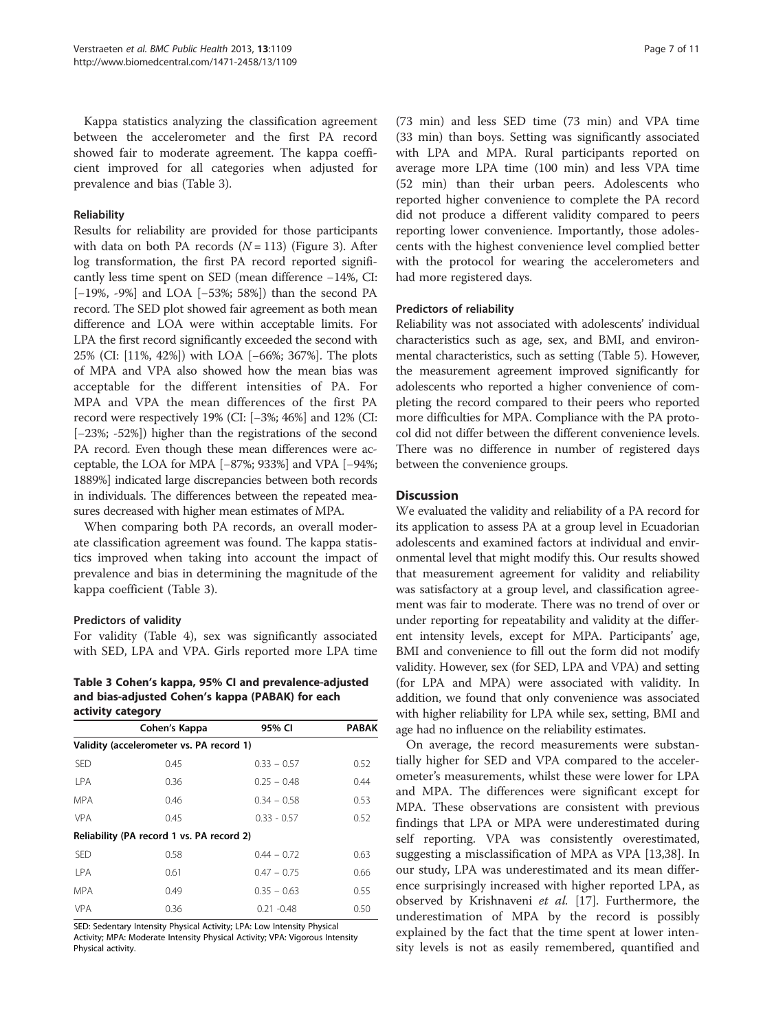Kappa statistics analyzing the classification agreement between the accelerometer and the first PA record showed fair to moderate agreement. The kappa coefficient improved for all categories when adjusted for prevalence and bias (Table 3).

## Reliability

Results for reliability are provided for those participants with data on both PA records  $(N = 113)$  (Figure [3](#page-7-0)). After log transformation, the first PA record reported significantly less time spent on SED (mean difference −14%, CI: [−19%, -9%] and LOA [−53%; 58%]) than the second PA record. The SED plot showed fair agreement as both mean difference and LOA were within acceptable limits. For LPA the first record significantly exceeded the second with 25% (CI: [11%, 42%]) with LOA [−66%; 367%]. The plots of MPA and VPA also showed how the mean bias was acceptable for the different intensities of PA. For MPA and VPA the mean differences of the first PA record were respectively 19% (CI: [−3%; 46%] and 12% (CI: [−23%; -52%]) higher than the registrations of the second PA record. Even though these mean differences were acceptable, the LOA for MPA [−87%; 933%] and VPA [−94%; 1889%] indicated large discrepancies between both records in individuals. The differences between the repeated measures decreased with higher mean estimates of MPA.

When comparing both PA records, an overall moderate classification agreement was found. The kappa statistics improved when taking into account the impact of prevalence and bias in determining the magnitude of the kappa coefficient (Table 3).

### Predictors of validity

For validity (Table [4](#page-7-0)), sex was significantly associated with SED, LPA and VPA. Girls reported more LPA time

Table 3 Cohen's kappa, 95% CI and prevalence-adjusted and bias-adjusted Cohen's kappa (PABAK) for each activity category

|                                          | Cohen's Kappa                             | 95% CI        | <b>PABAK</b> |  |  |  |  |
|------------------------------------------|-------------------------------------------|---------------|--------------|--|--|--|--|
| Validity (accelerometer vs. PA record 1) |                                           |               |              |  |  |  |  |
| <b>SED</b>                               | 0.45                                      | $0.33 - 0.57$ | 0.52         |  |  |  |  |
| <b>LPA</b>                               | 0.36                                      | $0.25 - 0.48$ | 0.44         |  |  |  |  |
| <b>MPA</b>                               | 0.46                                      | $0.34 - 0.58$ | 0.53         |  |  |  |  |
| <b>VPA</b>                               | 0.45                                      | $0.33 - 0.57$ | 0.52         |  |  |  |  |
|                                          | Reliability (PA record 1 vs. PA record 2) |               |              |  |  |  |  |
| <b>SED</b>                               | 0.58                                      | $0.44 - 0.72$ | 0.63         |  |  |  |  |
| <b>LPA</b>                               | 0.61                                      | $0.47 - 0.75$ | 0.66         |  |  |  |  |
| <b>MPA</b>                               | 0.49                                      | $0.35 - 0.63$ | 0.55         |  |  |  |  |
| <b>VPA</b>                               | 0.36                                      | $0.21 - 0.48$ | 0.50         |  |  |  |  |

SED: Sedentary Intensity Physical Activity; LPA: Low Intensity Physical Activity; MPA: Moderate Intensity Physical Activity; VPA: Vigorous Intensity Physical activity.

(73 min) and less SED time (73 min) and VPA time (33 min) than boys. Setting was significantly associated with LPA and MPA. Rural participants reported on average more LPA time (100 min) and less VPA time (52 min) than their urban peers. Adolescents who reported higher convenience to complete the PA record did not produce a different validity compared to peers reporting lower convenience. Importantly, those adolescents with the highest convenience level complied better with the protocol for wearing the accelerometers and had more registered days.

#### Predictors of reliability

Reliability was not associated with adolescents' individual characteristics such as age, sex, and BMI, and environmental characteristics, such as setting (Table [5\)](#page-8-0). However, the measurement agreement improved significantly for adolescents who reported a higher convenience of completing the record compared to their peers who reported more difficulties for MPA. Compliance with the PA protocol did not differ between the different convenience levels. There was no difference in number of registered days between the convenience groups.

#### **Discussion**

We evaluated the validity and reliability of a PA record for its application to assess PA at a group level in Ecuadorian adolescents and examined factors at individual and environmental level that might modify this. Our results showed that measurement agreement for validity and reliability was satisfactory at a group level, and classification agreement was fair to moderate. There was no trend of over or under reporting for repeatability and validity at the different intensity levels, except for MPA. Participants' age, BMI and convenience to fill out the form did not modify validity. However, sex (for SED, LPA and VPA) and setting (for LPA and MPA) were associated with validity. In addition, we found that only convenience was associated with higher reliability for LPA while sex, setting, BMI and age had no influence on the reliability estimates.

On average, the record measurements were substantially higher for SED and VPA compared to the accelerometer's measurements, whilst these were lower for LPA and MPA. The differences were significant except for MPA. These observations are consistent with previous findings that LPA or MPA were underestimated during self reporting. VPA was consistently overestimated, suggesting a misclassification of MPA as VPA [[13](#page-9-0),[38](#page-10-0)]. In our study, LPA was underestimated and its mean difference surprisingly increased with higher reported LPA, as observed by Krishnaveni et al. [[17\]](#page-9-0). Furthermore, the underestimation of MPA by the record is possibly explained by the fact that the time spent at lower intensity levels is not as easily remembered, quantified and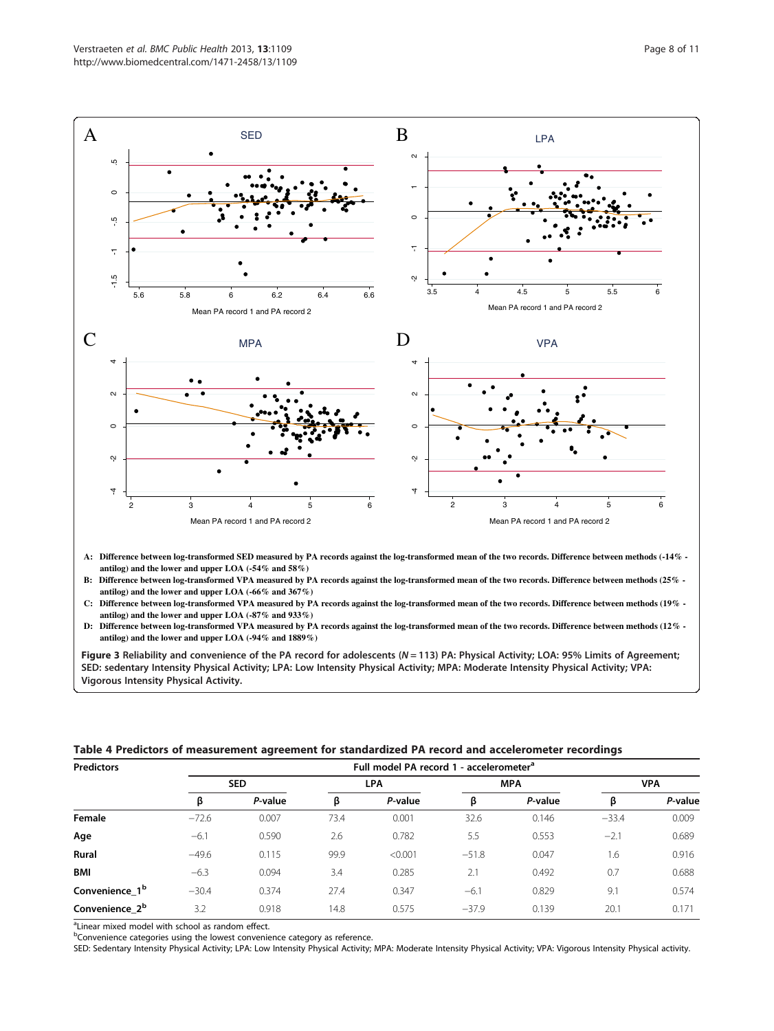<span id="page-7-0"></span>

- **B: Difference between log-transformed VPA measured by PA records against the log-transformed mean of the two records. Difference between methods (25% antilog) and the lower and upper LOA (-66% and 367%)**
- **C: Difference between log-transformed VPA measured by PA records against the log-transformed mean of the two records. Difference between methods (19% antilog) and the lower and upper LOA (-87% and 933%)**
- **D: Difference between log-transformed VPA measured by PA records against the log-transformed mean of the two records. Difference between methods (12%**

Figure 3 Reliability and convenience of the PA record for adolescents ( $N = 113$ ) PA: Physical Activity; LOA: 95% Limits of Agreement; SED: sedentary Intensity Physical Activity; LPA: Low Intensity Physical Activity; MPA: Moderate Intensity Physical Activity; VPA: Vigorous Intensity Physical Activity.

|  |  | Table 4 Predictors of measurement agreement for standardized PA record and accelerometer recordings |  |
|--|--|-----------------------------------------------------------------------------------------------------|--|
|--|--|-----------------------------------------------------------------------------------------------------|--|

| <b>Predictors</b>          | Full model PA record 1 - accelerometer <sup>a</sup> |         |            |         |            |         |            |         |  |  |
|----------------------------|-----------------------------------------------------|---------|------------|---------|------------|---------|------------|---------|--|--|
|                            | <b>SED</b>                                          |         | <b>LPA</b> |         | <b>MPA</b> |         | <b>VPA</b> |         |  |  |
|                            |                                                     | P-value | ß          | P-value | ß          | P-value | Þ          | P-value |  |  |
| Female                     | $-72.6$                                             | 0.007   | 73.4       | 0.001   | 32.6       | 0.146   | $-33.4$    | 0.009   |  |  |
| Age                        | $-6.1$                                              | 0.590   | 2.6        | 0.782   | 5.5        | 0.553   | $-2.1$     | 0.689   |  |  |
| <b>Rural</b>               | $-49.6$                                             | 0.115   | 99.9       | < 0.001 | $-51.8$    | 0.047   | 1.6        | 0.916   |  |  |
| <b>BMI</b>                 | $-6.3$                                              | 0.094   | 3.4        | 0.285   | 2.1        | 0.492   | 0.7        | 0.688   |  |  |
| Convenience 1 <sup>b</sup> | $-30.4$                                             | 0.374   | 27.4       | 0.347   | $-6.1$     | 0.829   | 9.1        | 0.574   |  |  |
| Convenience 2 <sup>b</sup> | 3.2                                                 | 0.918   | 14.8       | 0.575   | $-37.9$    | 0.139   | 20.1       | 0.171   |  |  |

<sup>a</sup>Linear mixed model with school as random effect.

<sup>b</sup>Convenience categories using the lowest convenience category as reference.

SED: Sedentary Intensity Physical Activity; LPA: Low Intensity Physical Activity; MPA: Moderate Intensity Physical Activity; VPA: Vigorous Intensity Physical activity.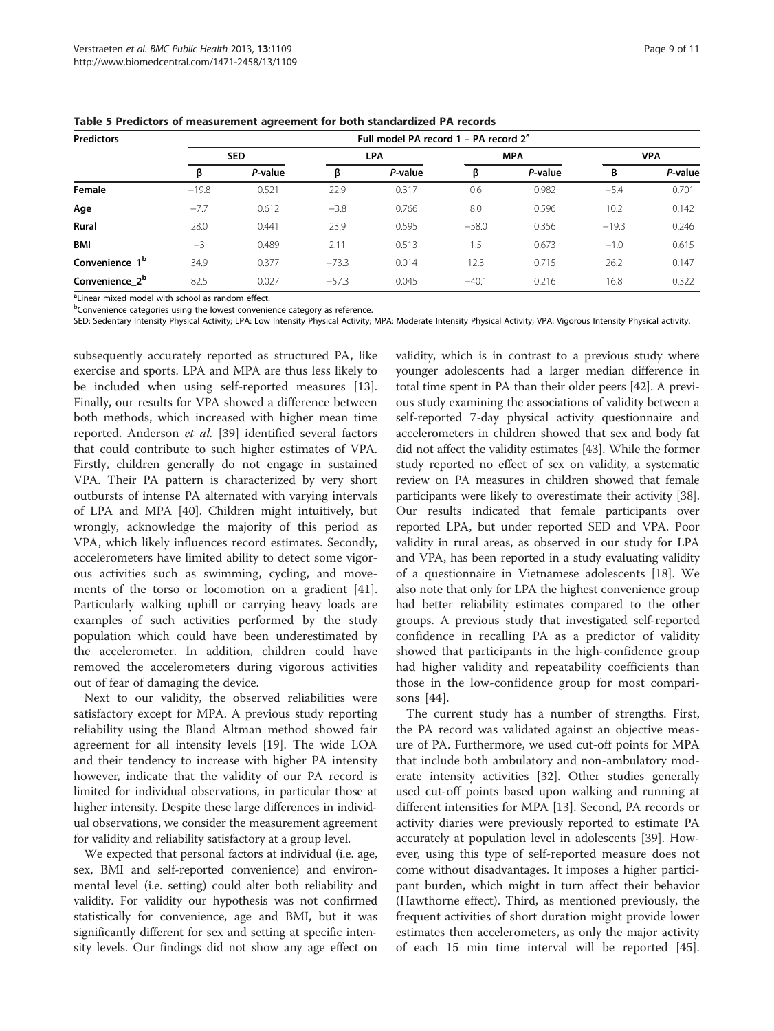| <b>Predictors</b>          | Full model PA record $1 - PA$ record $2a$ |            |         |         |         |            |         |            |  |  |
|----------------------------|-------------------------------------------|------------|---------|---------|---------|------------|---------|------------|--|--|
|                            |                                           | <b>SED</b> |         | LPA     |         | <b>MPA</b> |         | <b>VPA</b> |  |  |
|                            | β                                         | P-value    | β       | P-value | β       | P-value    | B       | P-value    |  |  |
| Female                     | $-19.8$                                   | 0.521      | 22.9    | 0.317   | 0.6     | 0.982      | $-5.4$  | 0.701      |  |  |
| Age                        | $-7.7$                                    | 0.612      | $-3.8$  | 0.766   | 8.0     | 0.596      | 10.2    | 0.142      |  |  |
| <b>Rural</b>               | 28.0                                      | 0.441      | 23.9    | 0.595   | $-58.0$ | 0.356      | $-19.3$ | 0.246      |  |  |
| <b>BMI</b>                 | $-3$                                      | 0.489      | 2.11    | 0.513   | $1.5\,$ | 0.673      | $-1.0$  | 0.615      |  |  |
| Convenience 1 <sup>b</sup> | 34.9                                      | 0.377      | $-73.3$ | 0.014   | 12.3    | 0.715      | 26.2    | 0.147      |  |  |
| Convenience 2 <sup>b</sup> | 82.5                                      | 0.027      | $-57.3$ | 0.045   | $-40.1$ | 0.216      | 16.8    | 0.322      |  |  |

<span id="page-8-0"></span>Table 5 Predictors of measurement agreement for both standardized PA records

<sup>a</sup> Linear mixed model with school as random effect.

<sup>b</sup>Convenience categories using the lowest convenience category as reference.

SED: Sedentary Intensity Physical Activity; LPA: Low Intensity Physical Activity; MPA: Moderate Intensity Physical Activity; VPA: Vigorous Intensity Physical activity.

subsequently accurately reported as structured PA, like exercise and sports. LPA and MPA are thus less likely to be included when using self-reported measures [\[13](#page-9-0)]. Finally, our results for VPA showed a difference between both methods, which increased with higher mean time reported. Anderson et al. [\[39](#page-10-0)] identified several factors that could contribute to such higher estimates of VPA. Firstly, children generally do not engage in sustained VPA. Their PA pattern is characterized by very short outbursts of intense PA alternated with varying intervals of LPA and MPA [\[40](#page-10-0)]. Children might intuitively, but wrongly, acknowledge the majority of this period as VPA, which likely influences record estimates. Secondly, accelerometers have limited ability to detect some vigorous activities such as swimming, cycling, and movements of the torso or locomotion on a gradient [\[41](#page-10-0)]. Particularly walking uphill or carrying heavy loads are examples of such activities performed by the study population which could have been underestimated by the accelerometer. In addition, children could have removed the accelerometers during vigorous activities out of fear of damaging the device.

Next to our validity, the observed reliabilities were satisfactory except for MPA. A previous study reporting reliability using the Bland Altman method showed fair agreement for all intensity levels [\[19](#page-9-0)]. The wide LOA and their tendency to increase with higher PA intensity however, indicate that the validity of our PA record is limited for individual observations, in particular those at higher intensity. Despite these large differences in individual observations, we consider the measurement agreement for validity and reliability satisfactory at a group level.

We expected that personal factors at individual (i.e. age, sex, BMI and self-reported convenience) and environmental level (i.e. setting) could alter both reliability and validity. For validity our hypothesis was not confirmed statistically for convenience, age and BMI, but it was significantly different for sex and setting at specific intensity levels. Our findings did not show any age effect on validity, which is in contrast to a previous study where younger adolescents had a larger median difference in total time spent in PA than their older peers [[42](#page-10-0)]. A previous study examining the associations of validity between a self-reported 7-day physical activity questionnaire and accelerometers in children showed that sex and body fat did not affect the validity estimates [\[43\]](#page-10-0). While the former study reported no effect of sex on validity, a systematic review on PA measures in children showed that female participants were likely to overestimate their activity [[38](#page-10-0)]. Our results indicated that female participants over reported LPA, but under reported SED and VPA. Poor validity in rural areas, as observed in our study for LPA and VPA, has been reported in a study evaluating validity of a questionnaire in Vietnamese adolescents [[18](#page-9-0)]. We also note that only for LPA the highest convenience group had better reliability estimates compared to the other groups. A previous study that investigated self-reported confidence in recalling PA as a predictor of validity showed that participants in the high-confidence group had higher validity and repeatability coefficients than those in the low-confidence group for most comparisons [\[44](#page-10-0)].

The current study has a number of strengths. First, the PA record was validated against an objective measure of PA. Furthermore, we used cut-off points for MPA that include both ambulatory and non-ambulatory moderate intensity activities [\[32](#page-10-0)]. Other studies generally used cut-off points based upon walking and running at different intensities for MPA [\[13](#page-9-0)]. Second, PA records or activity diaries were previously reported to estimate PA accurately at population level in adolescents [[39](#page-10-0)]. However, using this type of self-reported measure does not come without disadvantages. It imposes a higher participant burden, which might in turn affect their behavior (Hawthorne effect). Third, as mentioned previously, the frequent activities of short duration might provide lower estimates then accelerometers, as only the major activity of each 15 min time interval will be reported [\[45](#page-10-0)].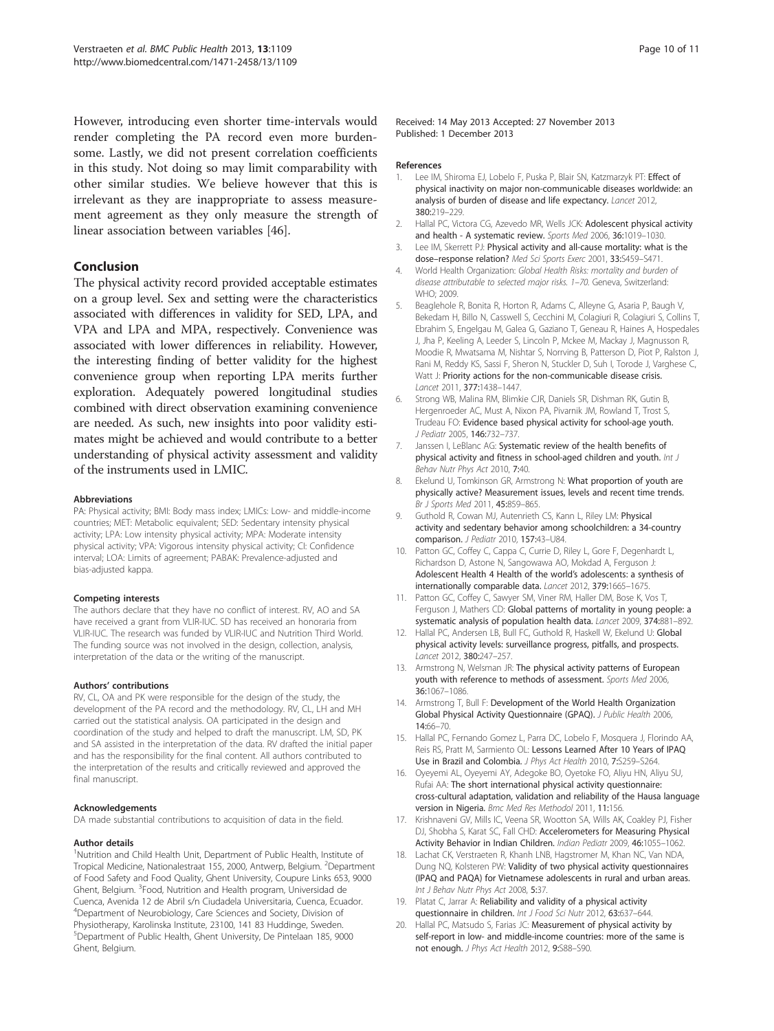<span id="page-9-0"></span>However, introducing even shorter time-intervals would render completing the PA record even more burdensome. Lastly, we did not present correlation coefficients in this study. Not doing so may limit comparability with other similar studies. We believe however that this is irrelevant as they are inappropriate to assess measurement agreement as they only measure the strength of linear association between variables [[46](#page-10-0)].

# Conclusion

The physical activity record provided acceptable estimates on a group level. Sex and setting were the characteristics associated with differences in validity for SED, LPA, and VPA and LPA and MPA, respectively. Convenience was associated with lower differences in reliability. However, the interesting finding of better validity for the highest convenience group when reporting LPA merits further exploration. Adequately powered longitudinal studies combined with direct observation examining convenience are needed. As such, new insights into poor validity estimates might be achieved and would contribute to a better understanding of physical activity assessment and validity of the instruments used in LMIC.

#### Abbreviations

PA: Physical activity; BMI: Body mass index; LMICs: Low- and middle-income countries; MET: Metabolic equivalent; SED: Sedentary intensity physical activity; LPA: Low intensity physical activity; MPA: Moderate intensity physical activity; VPA: Vigorous intensity physical activity; CI: Confidence interval; LOA: Limits of agreement; PABAK: Prevalence-adjusted and bias-adjusted kappa.

#### Competing interests

The authors declare that they have no conflict of interest. RV, AO and SA have received a grant from VLIR-IUC. SD has received an honoraria from VLIR-IUC. The research was funded by VLIR-IUC and Nutrition Third World. The funding source was not involved in the design, collection, analysis, interpretation of the data or the writing of the manuscript.

#### Authors' contributions

RV, CL, OA and PK were responsible for the design of the study, the development of the PA record and the methodology. RV, CL, LH and MH carried out the statistical analysis. OA participated in the design and coordination of the study and helped to draft the manuscript. LM, SD, PK and SA assisted in the interpretation of the data. RV drafted the initial paper and has the responsibility for the final content. All authors contributed to the interpretation of the results and critically reviewed and approved the final manuscript.

#### Acknowledgements

DA made substantial contributions to acquisition of data in the field.

#### Author details

<sup>1</sup>Nutrition and Child Health Unit, Department of Public Health, Institute of Tropical Medicine, Nationalestraat 155, 2000, Antwerp, Belgium. <sup>2</sup>Department of Food Safety and Food Quality, Ghent University, Coupure Links 653, 9000 Ghent, Belgium. <sup>3</sup> Food, Nutrition and Health program, Universidad de Cuenca, Avenida 12 de Abril s/n Ciudadela Universitaria, Cuenca, Ecuador. 4 Department of Neurobiology, Care Sciences and Society, Division of Physiotherapy, Karolinska Institute, 23100, 141 83 Huddinge, Sweden. 5 Department of Public Health, Ghent University, De Pintelaan 185, 9000 Ghent, Belgium.

Received: 14 May 2013 Accepted: 27 November 2013 Published: 1 December 2013

#### References

- 1. Lee IM, Shiroma EJ, Lobelo F, Puska P, Blair SN, Katzmarzyk PT: Effect of physical inactivity on major non-communicable diseases worldwide: an analysis of burden of disease and life expectancy. Lancet 2012, 380:219–229.
- 2. Hallal PC, Victora CG, Azevedo MR, Wells JCK: Adolescent physical activity and health - A systematic review. Sports Med 2006, 36:1019–1030.
- 3. Lee IM, Skerrett PJ: Physical activity and all-cause mortality: what is the dose–response relation? Med Sci Sports Exerc 2001, 33:S459–S471.
- 4. World Health Organization: Global Health Risks: mortality and burden of disease attributable to selected major risks. 1–70. Geneva, Switzerland: WHO; 2009.
- 5. Beaglehole R, Bonita R, Horton R, Adams C, Alleyne G, Asaria P, Baugh V, Bekedam H, Billo N, Casswell S, Cecchini M, Colagiuri R, Colagiuri S, Collins T, Ebrahim S, Engelgau M, Galea G, Gaziano T, Geneau R, Haines A, Hospedales J, Jha P, Keeling A, Leeder S, Lincoln P, Mckee M, Mackay J, Magnusson R, Moodie R, Mwatsama M, Nishtar S, Norrving B, Patterson D, Piot P, Ralston J, Rani M, Reddy KS, Sassi F, Sheron N, Stuckler D, Suh I, Torode J, Varghese C, Watt J: Priority actions for the non-communicable disease crisis. Lancet 2011, 377:1438–1447.
- 6. Strong WB, Malina RM, Blimkie CJR, Daniels SR, Dishman RK, Gutin B, Hergenroeder AC, Must A, Nixon PA, Pivarnik JM, Rowland T, Trost S, Trudeau FO: Evidence based physical activity for school-age youth. J Pediatr 2005, 146:732–737.
- 7. Janssen I, LeBlanc AG: Systematic review of the health benefits of physical activity and fitness in school-aged children and youth. Int J Behav Nutr Phys Act 2010, 7:40.
- Ekelund U, Tomkinson GR, Armstrong N: What proportion of youth are physically active? Measurement issues, levels and recent time trends. Br J Sports Med 2011, 45:859–865.
- 9. Guthold R, Cowan MJ, Autenrieth CS, Kann L, Riley LM: Physical activity and sedentary behavior among schoolchildren: a 34-country comparison. J Pediatr 2010, 157:43–U84.
- 10. Patton GC, Coffey C, Cappa C, Currie D, Riley L, Gore F, Degenhardt L, Richardson D, Astone N, Sangowawa AO, Mokdad A, Ferguson J: Adolescent Health 4 Health of the world's adolescents: a synthesis of internationally comparable data. Lancet 2012, 379:1665–1675.
- 11. Patton GC, Coffey C, Sawyer SM, Viner RM, Haller DM, Bose K, Vos T, Ferguson J, Mathers CD: Global patterns of mortality in young people: a systematic analysis of population health data. Lancet 2009, 374:881–892.
- 12. Hallal PC, Andersen LB, Bull FC, Guthold R, Haskell W, Ekelund U: Global physical activity levels: surveillance progress, pitfalls, and prospects. Lancet 2012, 380:247–257.
- 13. Armstrong N, Welsman JR: The physical activity patterns of European youth with reference to methods of assessment. Sports Med 2006, 36:1067–1086.
- 14. Armstrong T, Bull F: Development of the World Health Organization Global Physical Activity Questionnaire (GPAQ). J Public Health 2006, 14:66–70.
- 15. Hallal PC, Fernando Gomez L, Parra DC, Lobelo F, Mosquera J, Florindo AA, Reis RS, Pratt M, Sarmiento OL: Lessons Learned After 10 Years of IPAQ Use in Brazil and Colombia. J Phys Act Health 2010, 7:S259–S264.
- 16. Oyeyemi AL, Oyeyemi AY, Adegoke BO, Oyetoke FO, Aliyu HN, Aliyu SU, Rufai AA: The short international physical activity questionnaire: cross-cultural adaptation, validation and reliability of the Hausa language version in Nigeria. Bmc Med Res Methodol 2011, 11:156.
- 17. Krishnaveni GV, Mills IC, Veena SR, Wootton SA, Wills AK, Coakley PJ, Fisher DJ, Shobha S, Karat SC, Fall CHD: Accelerometers for Measuring Physical Activity Behavior in Indian Children. Indian Pediatr 2009, 46:1055–1062.
- 18. Lachat CK, Verstraeten R, Khanh LNB, Hagstromer M, Khan NC, Van NDA, Dung NQ, Kolsteren PW: Validity of two physical activity questionnaires (IPAQ and PAQA) for Vietnamese adolescents in rural and urban areas. Int J Behav Nutr Phys Act 2008, 5:37.
- 19. Platat C, Jarrar A: Reliability and validity of a physical activity questionnaire in children. Int J Food Sci Nutr 2012, 63:637-644
- 20. Hallal PC, Matsudo S, Farias JC: Measurement of physical activity by self-report in low- and middle-income countries: more of the same is not enough. J Phys Act Health 2012, 9:S88–S90.